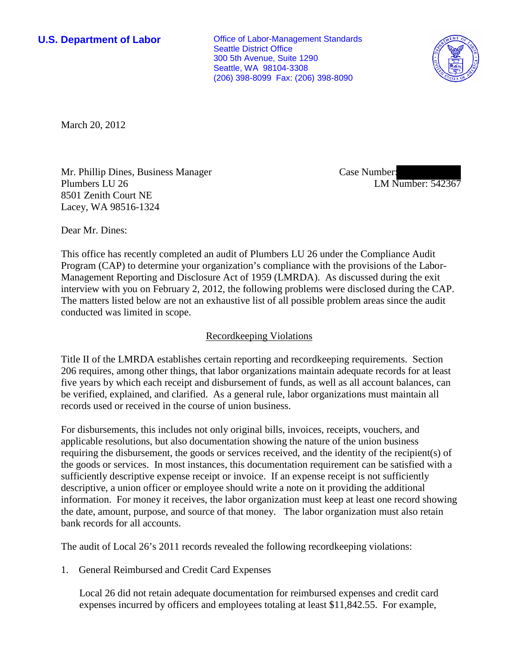**U.S. Department of Labor Conservative Conservative Conservative Conservative Conservative Conservative Conservative Conservative Conservative Conservative Conservative Conservative Conservative Conservative Conservative** Seattle District Office 300 5th Avenue, Suite 1290 Seattle, WA 98104-3308 (206) 398-8099 Fax: (206) 398-8090



March 20, 2012

Mr. Phillip Dines, Business Manager Plumbers LU 26 8501 Zenith Court NE Lacey, WA 98516-1324

Case Number: LM Number: 542367

Dear Mr. Dines:

This office has recently completed an audit of Plumbers LU 26 under the Compliance Audit Program (CAP) to determine your organization's compliance with the provisions of the Labor-Management Reporting and Disclosure Act of 1959 (LMRDA). As discussed during the exit interview with you on February 2, 2012, the following problems were disclosed during the CAP. The matters listed below are not an exhaustive list of all possible problem areas since the audit conducted was limited in scope.

## Recordkeeping Violations

Title II of the LMRDA establishes certain reporting and recordkeeping requirements. Section 206 requires, among other things, that labor organizations maintain adequate records for at least five years by which each receipt and disbursement of funds, as well as all account balances, can be verified, explained, and clarified. As a general rule, labor organizations must maintain all records used or received in the course of union business.

For disbursements, this includes not only original bills, invoices, receipts, vouchers, and applicable resolutions, but also documentation showing the nature of the union business requiring the disbursement, the goods or services received, and the identity of the recipient(s) of the goods or services. In most instances, this documentation requirement can be satisfied with a sufficiently descriptive expense receipt or invoice. If an expense receipt is not sufficiently descriptive, a union officer or employee should write a note on it providing the additional information. For money it receives, the labor organization must keep at least one record showing the date, amount, purpose, and source of that money. The labor organization must also retain bank records for all accounts.

The audit of Local 26's 2011 records revealed the following recordkeeping violations:

1. General Reimbursed and Credit Card Expenses

Local 26 did not retain adequate documentation for reimbursed expenses and credit card expenses incurred by officers and employees totaling at least \$11,842.55. For example,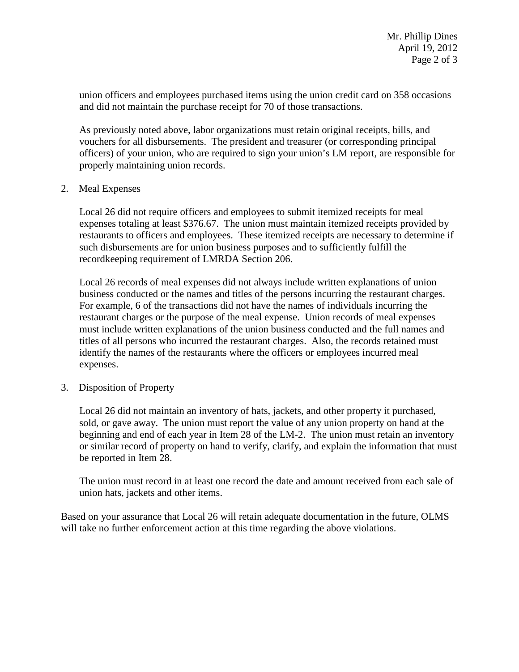union officers and employees purchased items using the union credit card on 358 occasions and did not maintain the purchase receipt for 70 of those transactions.

As previously noted above, labor organizations must retain original receipts, bills, and vouchers for all disbursements. The president and treasurer (or corresponding principal officers) of your union, who are required to sign your union's LM report, are responsible for properly maintaining union records.

## 2. Meal Expenses

Local 26 did not require officers and employees to submit itemized receipts for meal expenses totaling at least \$376.67. The union must maintain itemized receipts provided by restaurants to officers and employees. These itemized receipts are necessary to determine if such disbursements are for union business purposes and to sufficiently fulfill the recordkeeping requirement of LMRDA Section 206.

Local 26 records of meal expenses did not always include written explanations of union business conducted or the names and titles of the persons incurring the restaurant charges. For example, 6 of the transactions did not have the names of individuals incurring the restaurant charges or the purpose of the meal expense. Union records of meal expenses must include written explanations of the union business conducted and the full names and titles of all persons who incurred the restaurant charges. Also, the records retained must identify the names of the restaurants where the officers or employees incurred meal expenses.

## 3. Disposition of Property

Local 26 did not maintain an inventory of hats, jackets, and other property it purchased, sold, or gave away. The union must report the value of any union property on hand at the beginning and end of each year in Item 28 of the LM-2. The union must retain an inventory or similar record of property on hand to verify, clarify, and explain the information that must be reported in Item 28.

The union must record in at least one record the date and amount received from each sale of union hats, jackets and other items.

Based on your assurance that Local 26 will retain adequate documentation in the future, OLMS will take no further enforcement action at this time regarding the above violations.